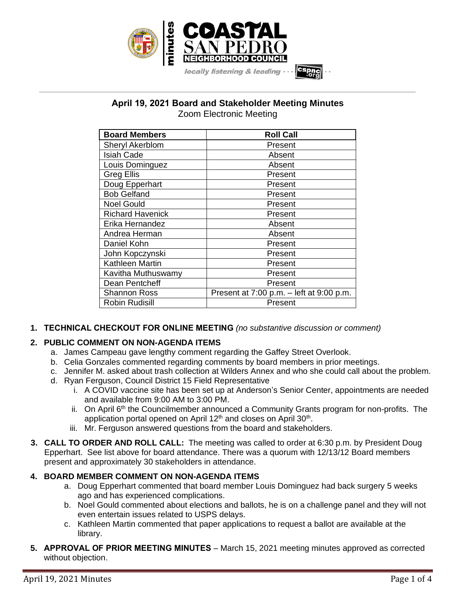

# **April 19, 2021 Board and Stakeholder Meeting Minutes** Zoom Electronic Meeting

**\_\_\_\_\_\_\_\_\_\_\_\_\_\_\_\_\_\_\_\_\_\_\_\_\_\_\_\_\_\_\_\_\_\_\_\_\_\_\_\_\_\_\_\_\_\_\_\_\_\_\_\_\_\_\_\_\_\_\_\_\_\_\_\_\_\_\_\_\_\_\_\_\_\_\_\_\_\_\_\_\_\_\_\_\_\_\_\_\_\_\_\_\_\_\_\_\_\_\_\_\_\_\_\_\_\_\_\_\_\_\_\_\_**

| <b>Board Members</b>    | <b>Roll Call</b>                               |
|-------------------------|------------------------------------------------|
| <b>Sheryl Akerblom</b>  | Present                                        |
| <b>Isiah Cade</b>       | Absent                                         |
| Louis Dominguez         | Absent                                         |
| <b>Greg Ellis</b>       | Present                                        |
| Doug Epperhart          | Present                                        |
| <b>Bob Gelfand</b>      | Present                                        |
| <b>Noel Gould</b>       | Present                                        |
| <b>Richard Havenick</b> | Present                                        |
| Erika Hernandez         | Absent                                         |
| Andrea Herman           | Absent                                         |
| Daniel Kohn             | Present                                        |
| John Kopczynski         | Present                                        |
| Kathleen Martin         | Present                                        |
| Kavitha Muthuswamy      | Present                                        |
| Dean Pentcheff          | Present                                        |
| <b>Shannon Ross</b>     | Present at $7:00$ p.m. $-$ left at $9:00$ p.m. |
| <b>Robin Rudisill</b>   | Present                                        |

**1. TECHNICAL CHECKOUT FOR ONLINE MEETING** *(no substantive discussion or comment)*

# **2. PUBLIC COMMENT ON NON-AGENDA ITEMS**

- a. James Campeau gave lengthy comment regarding the Gaffey Street Overlook.
- b. Celia Gonzales commented regarding comments by board members in prior meetings.
- c. Jennifer M. asked about trash collection at Wilders Annex and who she could call about the problem.
- d. Ryan Ferguson, Council District 15 Field Representative
	- i. A COVID vaccine site has been set up at Anderson's Senior Center, appointments are needed and available from 9:00 AM to 3:00 PM.
	- ii. On April 6<sup>th</sup> the Councilmember announced a Community Grants program for non-profits. The application portal opened on April 12<sup>th</sup> and closes on April 30<sup>th</sup>.
	- iii. Mr. Ferguson answered questions from the board and stakeholders.
- **3. CALL TO ORDER AND ROLL CALL:** The meeting was called to order at 6:30 p.m. by President Doug Epperhart. See list above for board attendance. There was a quorum with 12/13/12 Board members present and approximately 30 stakeholders in attendance.

# **4. BOARD MEMBER COMMENT ON NON-AGENDA ITEMS**

- a. Doug Epperhart commented that board member Louis Dominguez had back surgery 5 weeks ago and has experienced complications.
- b. Noel Gould commented about elections and ballots, he is on a challenge panel and they will not even entertain issues related to USPS delays.
- c. Kathleen Martin commented that paper applications to request a ballot are available at the library.
- **5. APPROVAL OF PRIOR MEETING MINUTES** March 15, 2021 meeting minutes approved as corrected without objection.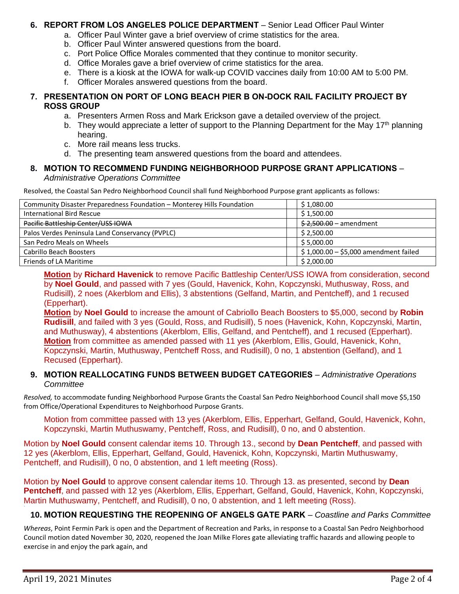# **6. REPORT FROM LOS ANGELES POLICE DEPARTMENT** – Senior Lead Officer Paul Winter

- a. Officer Paul Winter gave a brief overview of crime statistics for the area.
- b. Officer Paul Winter answered questions from the board.
- c. Port Police Office Morales commented that they continue to monitor security.
- d. Office Morales gave a brief overview of crime statistics for the area.
- e. There is a kiosk at the IOWA for walk-up COVID vaccines daily from 10:00 AM to 5:00 PM.
- f. Officer Morales answered questions from the board.

# **7. PRESENTATION ON PORT OF LONG BEACH PIER B ON-DOCK RAIL FACILITY PROJECT BY ROSS GROUP**

- a. Presenters Armen Ross and Mark Erickson gave a detailed overview of the project.
- b. They would appreciate a letter of support to the Planning Department for the May 17<sup>th</sup> planning hearing.
- c. More rail means less trucks.
- d. The presenting team answered questions from the board and attendees.

#### **8. MOTION TO RECOMMEND FUNDING NEIGHBORHOOD PURPOSE GRANT APPLICATIONS** – *Administrative Operations Committee*

Resolved, the Coastal San Pedro Neighborhood Council shall fund Neighborhood Purpose grant applicants as follows:

| Community Disaster Preparedness Foundation - Monterey Hills Foundation | \$1,080.00                                          |
|------------------------------------------------------------------------|-----------------------------------------------------|
| <b>International Bird Rescue</b>                                       | \$1,500.00                                          |
| Pacific Battleship Center/USS IOWA                                     | $$2,500.00 -$ amendment                             |
| Palos Verdes Peninsula Land Conservancy (PVPLC)                        | \$2,500.00                                          |
| San Pedro Meals on Wheels                                              | \$5,000.00                                          |
| Cabrillo Beach Boosters                                                | $\frac{1}{2}$ \$1,000.00 - \$5,000 amendment failed |
| Friends of LA Maritime                                                 | \$2,000.00                                          |

**Motion** by **Richard Havenick** to remove Pacific Battleship Center/USS IOWA from consideration, second by **Noel Gould**, and passed with 7 yes (Gould, Havenick, Kohn, Kopczynski, Muthusway, Ross, and Rudisill), 2 noes (Akerblom and Ellis), 3 abstentions (Gelfand, Martin, and Pentcheff), and 1 recused (Epperhart).

**Motion** by **Noel Gould** to increase the amount of Cabriollo Beach Boosters to \$5,000, second by **Robin Rudisill**, and failed with 3 yes (Gould, Ross, and Rudisill), 5 noes (Havenick, Kohn, Kopczynski, Martin, and Muthusway), 4 abstentions (Akerblom, Ellis, Gelfand, and Pentcheff), and 1 recused (Epperhart). **Motion** from committee as amended passed with 11 yes (Akerblom, Ellis, Gould, Havenick, Kohn, Kopczynski, Martin, Muthusway, Pentcheff Ross, and Rudisill), 0 no, 1 abstention (Gelfand), and 1 Recused (Epperhart).

# **9. MOTION REALLOCATING FUNDS BETWEEN BUDGET CATEGORIES** – *Administrative Operations Committee*

*Resolved,* to accommodate funding Neighborhood Purpose Grants the Coastal San Pedro Neighborhood Council shall move \$5,150 from Office/Operational Expenditures to Neighborhood Purpose Grants.

Motion from committee passed with 13 yes (Akerblom, Ellis, Epperhart, Gelfand, Gould, Havenick, Kohn, Kopczynski, Martin Muthuswamy, Pentcheff, Ross, and Rudisill), 0 no, and 0 abstention.

Motion by **Noel Gould** consent calendar items 10. Through 13., second by **Dean Pentcheff**, and passed with 12 yes (Akerblom, Ellis, Epperhart, Gelfand, Gould, Havenick, Kohn, Kopczynski, Martin Muthuswamy, Pentcheff, and Rudisill), 0 no, 0 abstention, and 1 left meeting (Ross).

Motion by **Noel Gould** to approve consent calendar items 10. Through 13. as presented, second by **Dean**  Pentcheff, and passed with 12 yes (Akerblom, Ellis, Epperhart, Gelfand, Gould, Havenick, Kohn, Kopczynski, Martin Muthuswamy, Pentcheff, and Rudisill), 0 no, 0 abstention, and 1 left meeting (Ross).

# **10. MOTION REQUESTING THE REOPENING OF ANGELS GATE PARK** – *Coastline and Parks Committee*

*Whereas*, Point Fermin Park is open and the Department of Recreation and Parks, in response to a Coastal San Pedro Neighborhood Council motion dated November 30, 2020, reopened the Joan Milke Flores gate alleviating traffic hazards and allowing people to exercise in and enjoy the park again, and

`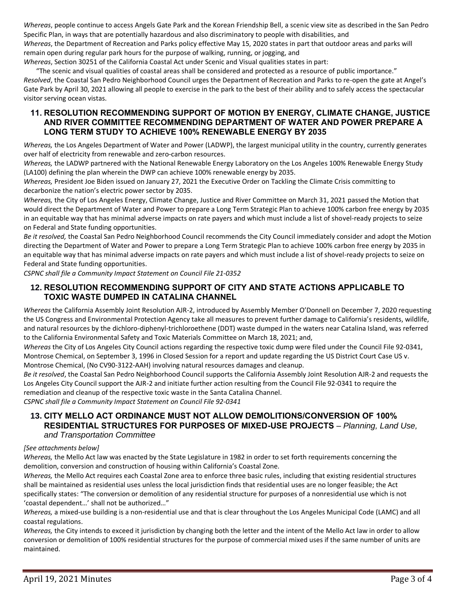*Whereas*, people continue to access Angels Gate Park and the Korean Friendship Bell, a scenic view site as described in the San Pedro Specific Plan, in ways that are potentially hazardous and also discriminatory to people with disabilities, and *Whereas*, the Department of Recreation and Parks policy effective May 15, 2020 states in part that outdoor areas and parks will remain open during regular park hours for the purpose of walking, running, or jogging, and

*Whereas*, Section 30251 of the California Coastal Act under Scenic and Visual qualities states in part:

"The scenic and visual qualities of coastal areas shall be considered and protected as a resource of public importance." *Resolved*, the Coastal San Pedro Neighborhood Council urges the Department of Recreation and Parks to re-open the gate at Angel's Gate Park by April 30, 2021 allowing all people to exercise in the park to the best of their ability and to safely access the spectacular visitor serving ocean vistas.

# **11. RESOLUTION RECOMMENDING SUPPORT OF MOTION BY ENERGY, CLIMATE CHANGE, JUSTICE AND RIVER COMMITTEE RECOMMENDING DEPARTMENT OF WATER AND POWER PREPARE A LONG TERM STUDY TO ACHIEVE 100% RENEWABLE ENERGY BY 2035**

*Whereas,* the Los Angeles Department of Water and Power (LADWP), the largest municipal utility in the country, currently generates over half of electricity from renewable and zero-carbon resources.

*Whereas,* the LADWP partnered with the National Renewable Energy Laboratory on the Los Angeles 100% Renewable Energy Study (LA100) defining the plan wherein the DWP can achieve 100% renewable energy by 2035.

*Whereas,* President Joe Biden issued on January 27, 2021 the Executive Order on Tackling the Climate Crisis committing to decarbonize the nation's electric power sector by 2035.

*Whereas,* the City of Los Angeles Energy, Climate Change, Justice and River Committee on March 31, 2021 passed the Motion that would direct the Department of Water and Power to prepare a Long Term Strategic Plan to achieve 100% carbon free energy by 2035 in an equitable way that has minimal adverse impacts on rate payers and which must include a list of shovel-ready projects to seize on Federal and State funding opportunities.

*Be it resolved,* the Coastal San Pedro Neighborhood Council recommends the City Council immediately consider and adopt the Motion directing the Department of Water and Power to prepare a Long Term Strategic Plan to achieve 100% carbon free energy by 2035 in an equitable way that has minimal adverse impacts on rate payers and which must include a list of shovel-ready projects to seize on Federal and State funding opportunities.

*CSPNC shall file a Community Impact Statement on Council File 21-0352*

# **12. RESOLUTION RECOMMENDING SUPPORT OF CITY AND STATE ACTIONS APPLICABLE TO TOXIC WASTE DUMPED IN CATALINA CHANNEL**

*Whereas* the California Assembly Joint Resolution AJR-2, introduced by Assembly Member O'Donnell on December 7, 2020 requesting the US Congress and Environmental Protection Agency take all measures to prevent further damage to California's residents, wildlife, and natural resources by the dichloro-diphenyl-trichloroethene (DDT) waste dumped in the waters near Catalina Island, was referred to the California Environmental Safety and Toxic Materials Committee on March 18, 2021; and,

*Whereas* the City of Los Angeles City Council actions regarding the respective toxic dump were filed under the Council File 92-0341, Montrose Chemical, on September 3, 1996 in Closed Session for a report and update regarding the US District Court Case US v. Montrose Chemical, (No CV90-3122-AAH) involving natural resources damages and cleanup.

*Be it resolved*, the Coastal San Pedro Neighborhood Council supports the California Assembly Joint Resolution AJR-2 and requests the Los Angeles City Council support the AJR-2 and initiate further action resulting from the Council File 92-0341 to require the remediation and cleanup of the respective toxic waste in the Santa Catalina Channel.

*CSPNC shall file a Community Impact Statement on Council File 92-0341*

# **13. CITY MELLO ACT ORDINANCE MUST NOT ALLOW DEMOLITIONS/CONVERSION OF 100% RESIDENTIAL STRUCTURES FOR PURPOSES OF MIXED-USE PROJECTS** – *Planning, Land Use, and Transportation Committee*

#### *[See attachments below]*

*Whereas,* the Mello Act law was enacted by the State Legislature in 1982 in order to set forth requirements concerning the demolition, conversion and construction of housing within California's Coastal Zone.

*Whereas,* the Mello Act requires each Coastal Zone area to enforce three basic rules, including that existing residential structures shall be maintained as residential uses unless the local jurisdiction finds that residential uses are no longer feasible; the Act specifically states: "The conversion or demolition of any residential structure for purposes of a nonresidential use which is not 'coastal dependent…' shall not be authorized…"

*Whereas,* a mixed-use building is a non-residential use and that is clear throughout the Los Angeles Municipal Code (LAMC) and all coastal regulations.

*Whereas,* the City intends to exceed it jurisdiction by changing both the letter and the intent of the Mello Act law in order to allow conversion or demolition of 100% residential structures for the purpose of commercial mixed uses if the same number of units are maintained.